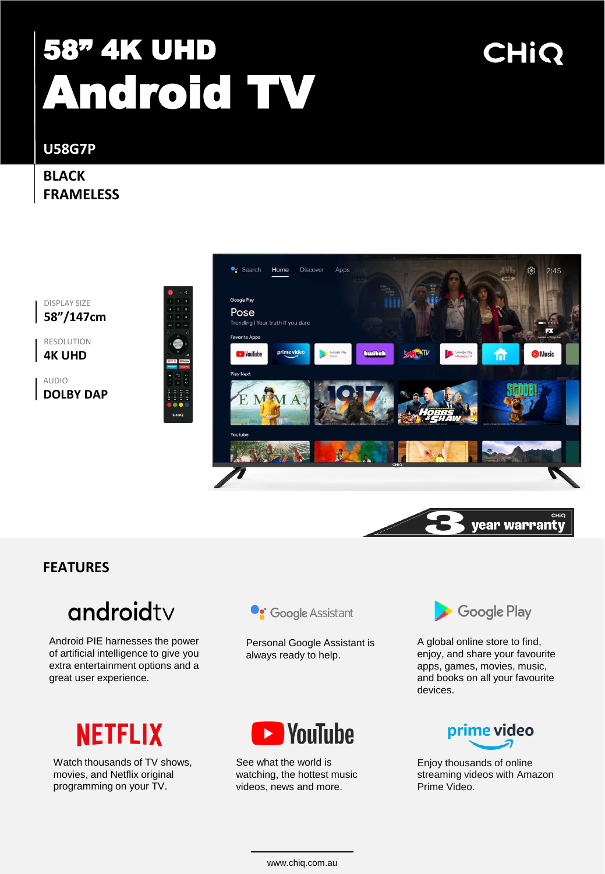# 58" 4K UHD Android TV

# CHIQ

**U58G7P**

#### **BLACK FRAMELESS**

DISPLAY SIZE **58"/147cm**

RESOLUTION **4K UHD**

AUDIO **DOLBY DAP**



#### **FEATURES**

### androidty

Android PIE harnesses the power of artificial intelligence to give you extra entertainment options and a great user experience.



Watch thousands of TV shows, movies, and Netflix original programming on your TV.



Personal Google Assistant is always ready to help.



See what the world is watching, the hottest music videos, news and more.



A global online store to find, enjoy, and share your favourite apps, games, movies, music, and books on all your favourite devices.



Enjoy thousands of online streaming videos with Amazon Prime Video.

www.chiq.com.au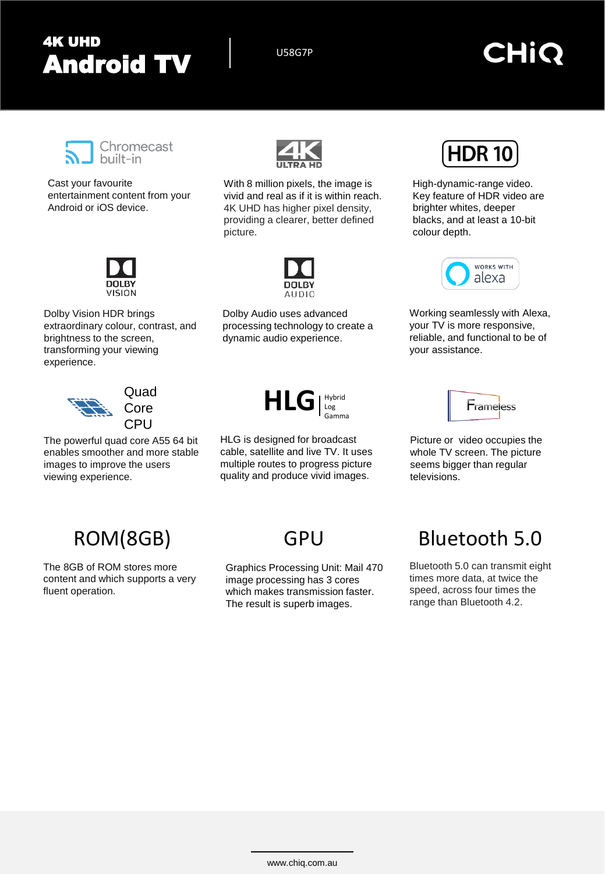### 4K UHD Android TV US8G7P

### CHIO



Cast your favourite entertainment content from your Android or iOS device.



Dolby Vision HDR brings extraordinary colour, contrast, and brightness to the screen, transforming your viewing experience.



Quad **Core CPU** 

The powerful quad core A55 64 bit enables smoother and more stable images to improve the users viewing experience.



With 8 million pixels, the image is vivid and real as if it is within reach. 4K UHD has higher pixel density, providing a clearer, better defined picture.



Dolby Audio uses advanced processing technology to create a dynamic audio experience.

HLG | Hybrid

Gamma

HLG is designed for broadcast cable, satellite and live TV. It uses multiple routes to progress picture quality and produce vivid images.



High-dynamic-range video. Key feature of HDR video are brighter whites, deeper blacks, and at least a 10-bit colour depth.



Working seamlessly with Alexa, your TV is more responsive, reliable, and functional to be of your assistance.



Picture or video occupies the whole TV screen. The picture seems bigger than regular televisions.

### ROM(8GB) GPU

The 8GB of ROM stores more content and which supports a very fluent operation.

Graphics Processing Unit: Mail 470 image processing has 3 cores which makes transmission faster. The result is superb images.

### Bluetooth 5.0

Bluetooth 5.0 can transmit eight times more data, at twice the speed, across four times the range than Bluetooth 4.2.